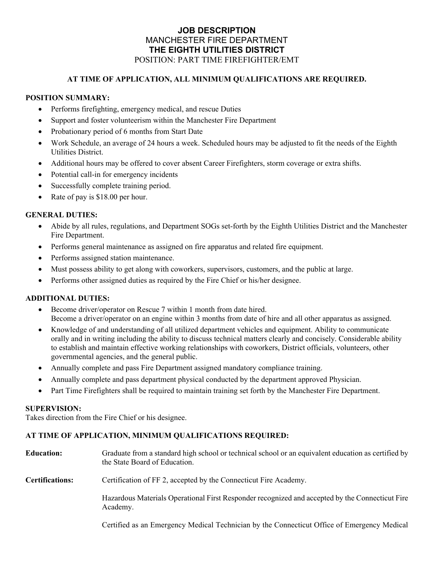# **JOB DESCRIPTION**  MANCHESTER FIRE DEPARTMENT **THE EIGHTH UTILITIES DISTRICT**  POSITION: PART TIME FIREFIGHTER/EMT

## **AT TIME OF APPLICATION, ALL MINIMUM QUALIFICATIONS ARE REQUIRED.**

# **POSITION SUMMARY:**

- Performs firefighting, emergency medical, and rescue Duties
- Support and foster volunteerism within the Manchester Fire Department
- Probationary period of 6 months from Start Date
- Work Schedule, an average of 24 hours a week. Scheduled hours may be adjusted to fit the needs of the Eighth Utilities District.
- Additional hours may be offered to cover absent Career Firefighters, storm coverage or extra shifts.
- Potential call-in for emergency incidents
- Successfully complete training period.
- Rate of pay is \$18.00 per hour.

### **GENERAL DUTIES:**

- Abide by all rules, regulations, and Department SOGs set-forth by the Eighth Utilities District and the Manchester Fire Department.
- Performs general maintenance as assigned on fire apparatus and related fire equipment.
- Performs assigned station maintenance.
- Must possess ability to get along with coworkers, supervisors, customers, and the public at large.
- Performs other assigned duties as required by the Fire Chief or his/her designee.

## **ADDITIONAL DUTIES:**

- Become driver/operator on Rescue 7 within 1 month from date hired. Become a driver/operator on an engine within 3 months from date of hire and all other apparatus as assigned.
- Knowledge of and understanding of all utilized department vehicles and equipment. Ability to communicate orally and in writing including the ability to discuss technical matters clearly and concisely. Considerable ability to establish and maintain effective working relationships with coworkers, District officials, volunteers, other governmental agencies, and the general public.
- Annually complete and pass Fire Department assigned mandatory compliance training.
- Annually complete and pass department physical conducted by the department approved Physician.
- Part Time Firefighters shall be required to maintain training set forth by the Manchester Fire Department.

#### **SUPERVISION:**

Takes direction from the Fire Chief or his designee.

#### **AT TIME OF APPLICATION, MINIMUM QUALIFICATIONS REQUIRED:**

| <b>Education:</b>      | Graduate from a standard high school or technical school or an equivalent education as certified by<br>the State Board of Education. |
|------------------------|--------------------------------------------------------------------------------------------------------------------------------------|
| <b>Certifications:</b> | Certification of FF 2, accepted by the Connecticut Fire Academy.                                                                     |
|                        | Hazardous Materials Operational First Responder recognized and accepted by the Connecticut Fire<br>Academy.                          |
|                        |                                                                                                                                      |

Certified as an Emergency Medical Technician by the Connecticut Office of Emergency Medical